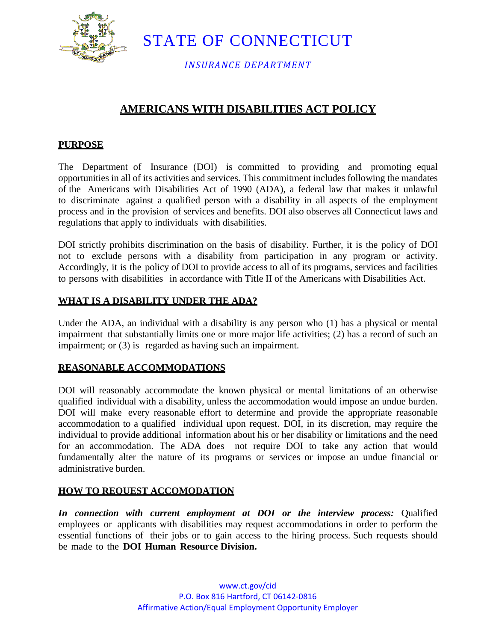

STATE OF CONNECTICUT

*INSURANCE DEPARTMENT*

# **AMERICANS WITH DISABILITIES ACT POLICY**

#### **PURPOSE**

The Department of Insurance (DOI) is committed to providing and promoting equal opportunities in all of its activities and services. This commitment includes following the mandates of the Americans with Disabilities Act of 1990 (ADA), a federal law that makes it unlawful to discriminate against a qualified person with a disability in all aspects of the employment process and in the provision of services and benefits. DOI also observes all Connecticut laws and regulations that apply to individuals with disabilities.

DOI strictly prohibits discrimination on the basis of disability. Further, it is the policy of DOI not to exclude persons with a disability from participation in any program or activity. Accordingly, it is the policy of DOI to provide access to all of its programs, services and facilities to persons with disabilities in accordance with Title II of the Americans with Disabilities Act.

#### **WHAT IS A DISABILITY UNDER THE ADA?**

Under the ADA, an individual with a disability is any person who (1) has a physical or mental impairment that substantially limits one or more major life activities; (2) has a record of such an impairment; or (3) is regarded as having such an impairment.

#### **REASONABLE ACCOMMODATIONS**

DOI will reasonably accommodate the known physical or mental limitations of an otherwise qualified individual with a disability, unless the accommodation would impose an undue burden. DOI will make every reasonable effort to determine and provide the appropriate reasonable accommodation to a qualified individual upon request. DOI, in its discretion, may require the individual to provide additional information about his or her disability or limitations and the need for an accommodation. The ADA does not require DOI to take any action that would fundamentally alter the nature of its programs or services or impose an undue financial or administrative burden.

### **HOW TO REQUEST ACCOMODATION**

*In connection with current employment at DOI or the interview process:* Qualified employees or applicants with disabilities may request accommodations in order to perform the essential functions of their jobs or to gain access to the hiring process. Such requests should be made to the **DOI Human Resource Division.**